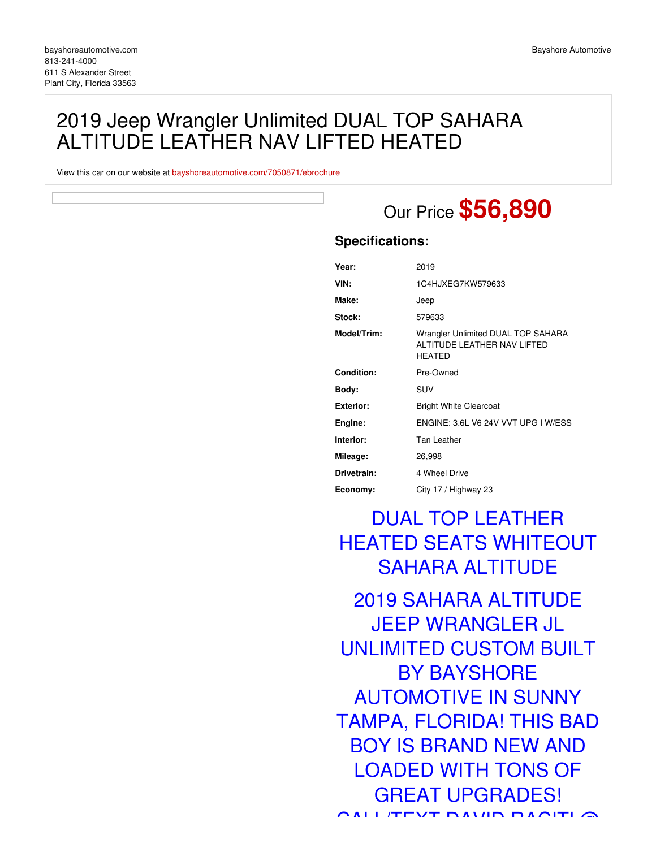## 2019 Jeep Wrangler Unlimited DUAL TOP SAHARA ALTITUDE LEATHER NAV LIFTED HEATED

View this car on our website at [bayshoreautomotive.com/7050871/ebrochure](https://bayshoreautomotive.com/vehicle/7050871/2019-jeep-wrangler-unlimited-dual-top-sahara-altitude-leather-nav-lifted-heated-plant-city-florida-33563/7050871/ebrochure)

# Our Price **\$56,890**

### **Specifications:**

| Year:             | 2019                                                                        |
|-------------------|-----------------------------------------------------------------------------|
| VIN:              | 1C4HJXEG7KW579633                                                           |
| Make:             | Jeep                                                                        |
| Stock:            | 579633                                                                      |
| Model/Trim:       | Wrangler Unlimited DUAL TOP SAHARA<br>ALTITUDE LEATHER NAV LIFTED<br>HEATED |
| <b>Condition:</b> | Pre-Owned                                                                   |
| Body:             | <b>SUV</b>                                                                  |
| <b>Exterior:</b>  | <b>Bright White Clearcoat</b>                                               |
| Engine:           | ENGINE: 3.6L V6 24V VVT UPG I W/ESS                                         |
| Interior:         | Tan Leather                                                                 |
| Mileage:          | 26,998                                                                      |
| Drivetrain:       | 4 Wheel Drive                                                               |
| Economy:          | City 17 / Highway 23                                                        |

# DUAL TOP LEATHER HEATED SEATS WHITEOUT SAHARA ALTITUDE

2019 SAHARA ALTITUDE JEEP WRANGLER JL UNLIMITED CUSTOM BUILT BY BAYSHORE AUTOMOTIVE IN SUNNY TAMPA, FLORIDA! THIS BAD BOY IS BRAND NEW AND LOADED WITH TONS OF GREAT UPGRADES! CALL/TEXT DAVID RACITI @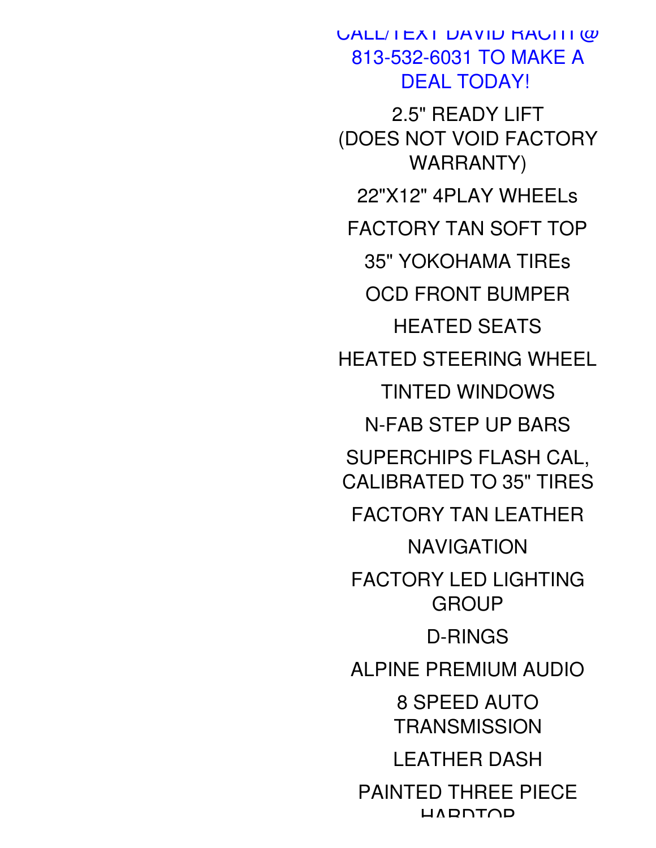**CALL/TEXT DAVID RACITI @** 813-532-6031 TO MAKE A DEAL TODAY! 2.5" READY LIFT (DOES NOT VOID FACTORY WARRANTY) 22"X12" 4PLAY WHEELs FACTORY TAN SOFT TOP 35" YOKOHAMA TIREs OCD FRONT BUMPER HEATED SEATS HEATED STEERING WHEEL TINTED WINDOWS N-FAB STEP UP BARS SUPERCHIPS FLASH CAL, CALIBRATED TO 35" TIRES FACTORY TAN LEATHER NAVIGATION FACTORY LED LIGHTING **GROUP** D-RINGS ALPINE PREMIUM AUDIO 8 SPEED AUTO **TRANSMISSION** LEATHER DASH PAINTED THREE PIECE **HARDTOP**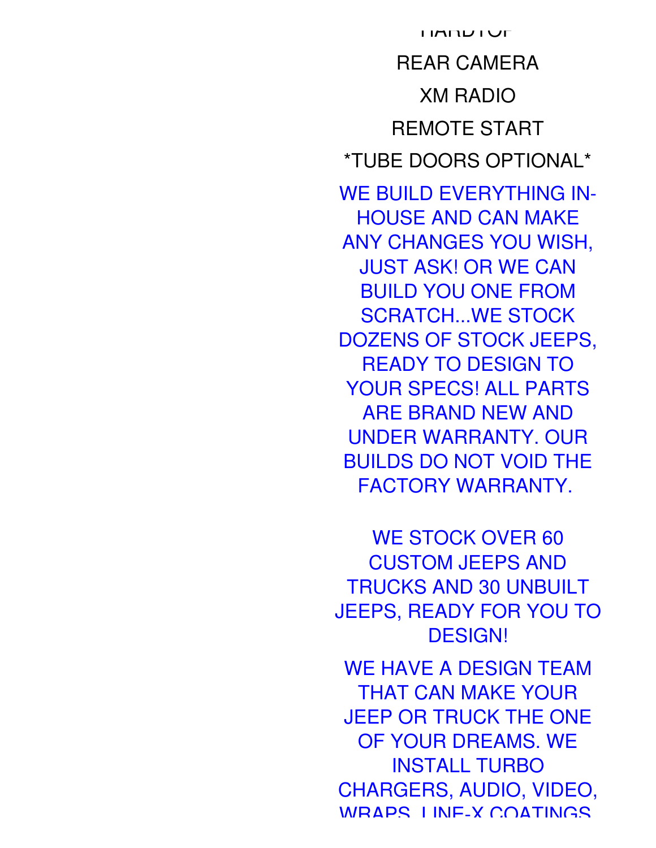REAR CAMERA XM RADIO REMOTE START \*TUBE DOORS OPTIONAL\* WE BUILD EVERYTHING IN-HOUSE AND CAN MAKE ANY CHANGES YOU WISH, JUST ASK! OR WE CAN BUILD YOU ONE FROM SCRATCH...WE STOCK DOZENS OF STOCK JEEPS, READY TO DESIGN TO YOUR SPECS! ALL PARTS ARE BRAND NEW AND UNDER WARRANTY. OUR BUILDS DO NOT VOID THE FACTORY WARRANTY.

**HARDIVE** 

WE STOCK OVER 60 CUSTOM JEEPS AND TRUCKS AND 30 UNBUILT JEEPS, READY FOR YOU TO DESIGN!

WE HAVE A DESIGN TEAM THAT CAN MAKE YOUR JEEP OR TRUCK THE ONE OF YOUR DREAMS. WE INSTALL TURBO CHARGERS, AUDIO, VIDEO, WRAPS, LINE-X COATINGS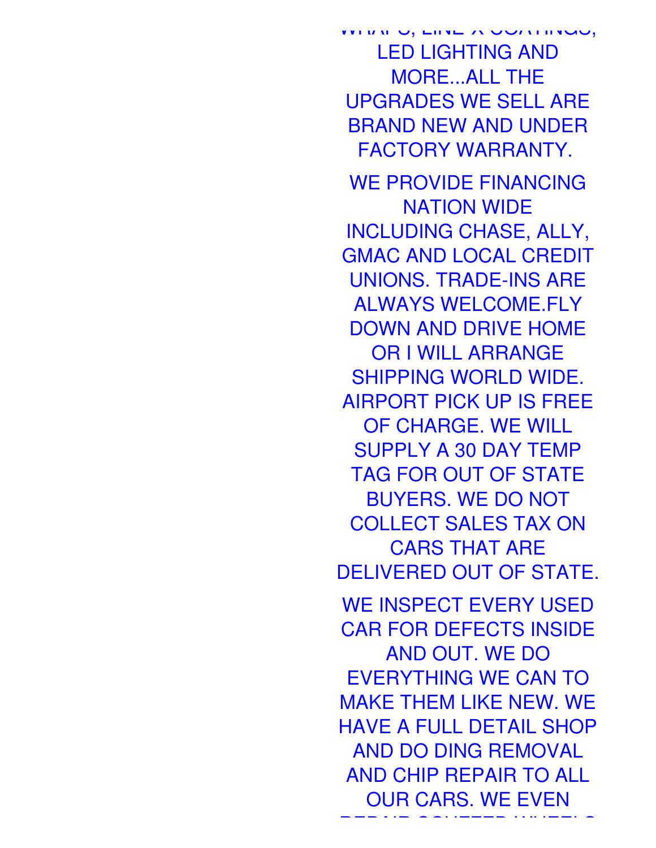WHITH U, LINE-X UUTHINGS, LED LIGHTING AND MORE...ALL THE UPGRADES WE SELL ARE BRAND NEW AND UNDER FACTORY WARRANTY.

WE PROVIDE FINANCING NATION WIDE INCLUDING CHASE, ALLY, GMAC AND LOCAL CREDIT UNIONS. TRADE-INS ARE ALWAYS WELCOME.FLY DOWN AND DRIVE HOME OR I WILL ARRANGE SHIPPING WORLD WIDE. AIRPORT PICK UP IS FREE OF CHARGE. WE WILL SUPPLY A 30 DAY TEMP TAG FOR OUT OF STATE BUYERS. WE DO NOT COLLECT SALES TAX ON CARS THAT ARE DELIVERED OUT OF STATE. WE INSPECT EVERY USED CAR FOR DEFECTS INSIDE AND OUT. WE DO EVERYTHING WE CAN TO MAKE THEM LIKE NEW. WE HAVE A FULL DETAIL SHOP AND DO DING REMOVAL AND CHIP REPAIR TO ALL OUR CARS. WE EVEN

REPAIR SCUFFED WHEELS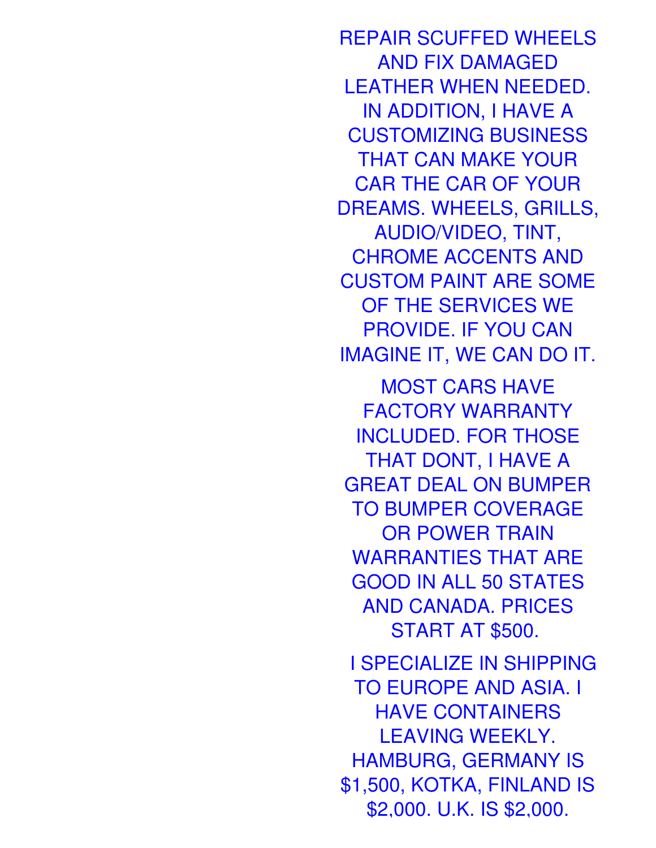REPAIR SCUFFED WHEELS AND FIX DAMAGED LEATHER WHEN NEEDED. IN ADDITION, I HAVE A CUSTOMIZING BUSINESS THAT CAN MAKE YOUR CAR THE CAR OF YOUR DREAMS. WHEELS, GRILLS, AUDIO/VIDEO, TINT, CHROME ACCENTS AND CUSTOM PAINT ARE SOME OF THE SERVICES WE PROVIDE. IF YOU CAN IMAGINE IT, WE CAN DO IT.

MOST CARS HAVE FACTORY WARRANTY INCLUDED. FOR THOSE THAT DONT, I HAVE A GREAT DEAL ON BUMPER TO BUMPER COVERAGE OR POWER TRAIN WARRANTIES THAT ARE GOOD IN ALL 50 STATES AND CANADA. PRICES START AT \$500.

I SPECIALIZE IN SHIPPING TO EUROPE AND ASIA. I HAVE CONTAINERS LEAVING WEEKLY. HAMBURG, GERMANY IS \$1,500, KOTKA, FINLAND IS \$2,000. U.K. IS \$2,000.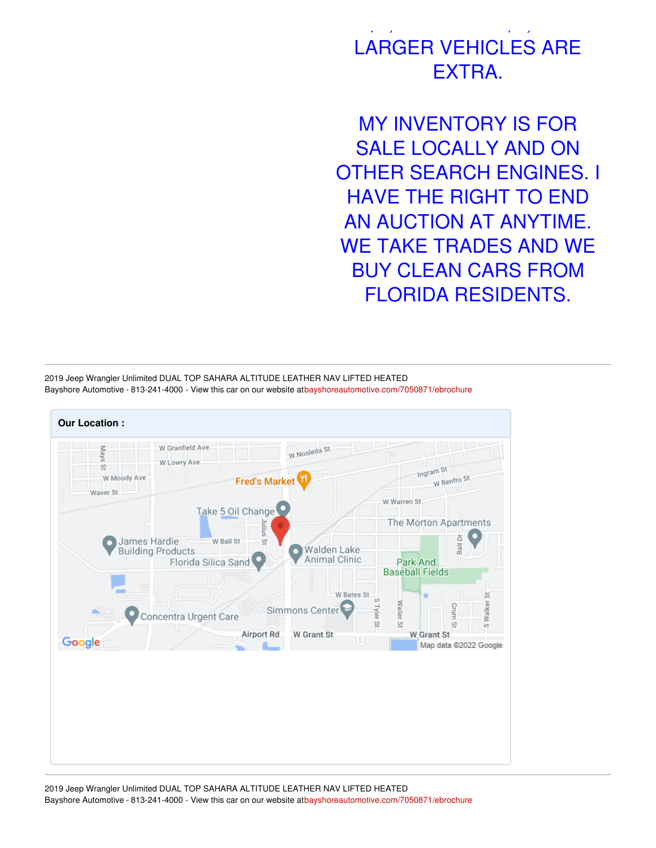## :<br>2,000. U.K. IS \$2,000. U.K. IS \$2,000. U.K. IS \$2,000. U.K. IS \$2,000. U.K. IS \$2,000. U.K. IS \$2,000. U.K. IS LARGER VEHICLES ARE EXTRA.

MY INVENTORY IS FOR SALE LOCALLY AND ON OTHER SEARCH ENGINES. I HAVE THE RIGHT TO END AN AUCTION AT ANYTIME. WE TAKE TRADES AND WE BUY CLEAN CARS FROM FLORIDA RESIDENTS.

2019 Jeep Wrangler Unlimited DUAL TOP SAHARA ALTITUDE LEATHER NAV LIFTED HEATED Bayshore Automotive - 813-241-4000 - View this car on our website a[tbayshoreautomotive.com/7050871/ebrochure](https://bayshoreautomotive.com/vehicle/7050871/2019-jeep-wrangler-unlimited-dual-top-sahara-altitude-leather-nav-lifted-heated-plant-city-florida-33563/7050871/ebrochure)

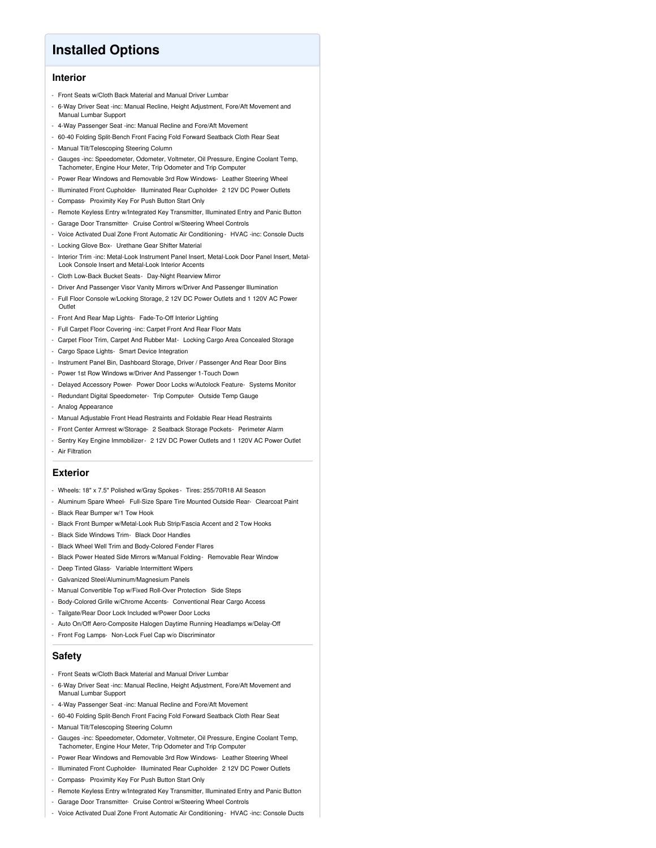## **Installed Options**

### **Interior**

- Front Seats w/Cloth Back Material and Manual Driver Lumbar
- 6-Way Driver Seat -inc: Manual Recline, Height Adjustment, Fore/Aft Movement and Manual Lumbar Support
- 4-Way Passenger Seat -inc: Manual Recline and Fore/Aft Movement
- 60-40 Folding Split-Bench Front Facing Fold Forward Seatback Cloth Rear Seat
- Manual Tilt/Telescoping Steering Column
- Gauges -inc: Speedometer, Odometer, Voltmeter, Oil Pressure, Engine Coolant Temp, Tachometer, Engine Hour Meter, Trip Odometer and Trip Computer
- Power Rear Windows and Removable 3rd Row Windows- Leather Steering Wheel
- Illuminated Front Cupholder- Illuminated Rear Cupholder- 2 12V DC Power Outlets
- Compass- Proximity Key For Push Button Start Only
- Remote Keyless Entry w/Integrated Key Transmitter, Illuminated Entry and Panic Button
- Garage Door Transmitter- Cruise Control w/Steering Wheel Controls
- Voice Activated Dual Zone Front Automatic Air Conditioning HVAC -inc: Console Ducts
- Locking Glove Box- Urethane Gear Shifter Material
- Interior Trim -inc: Metal-Look Instrument Panel Insert, Metal-Look Door Panel Insert, Metal-Look Console Insert and Metal-Look Interior Accents
- Cloth Low-Back Bucket Seats- Day-Night Rearview Mirror
- Driver And Passenger Visor Vanity Mirrors w/Driver And Passenger Illumination
- Full Floor Console w/Locking Storage, 2 12V DC Power Outlets and 1 120V AC Power **Outlet**
- Front And Rear Map Lights- Fade-To-Off Interior Lighting
- Full Carpet Floor Covering -inc: Carpet Front And Rear Floor Mats
- Carpet Floor Trim, Carpet And Rubber Mat- Locking Cargo Area Concealed Storage
- Cargo Space Lights- Smart Device Integration
- Instrument Panel Bin, Dashboard Storage, Driver / Passenger And Rear Door Bins
- Power 1st Row Windows w/Driver And Passenger 1-Touch Down
- Delayed Accessory Power- Power Door Locks w/Autolock Feature- Systems Monitor
- Redundant Digital Speedometer- Trip Computer- Outside Temp Gauge
- Analog Appearance
- Manual Adjustable Front Head Restraints and Foldable Rear Head Restraints
- Front Center Armrest w/Storage- 2 Seatback Storage Pockets- Perimeter Alarm
- Sentry Key Engine Immobilizer- 2 12V DC Power Outlets and 1 120V AC Power Outlet - Air Filtration
- 

#### **Exterior**

- Wheels: 18" x 7.5" Polished w/Gray Spokes Tires: 255/70R18 All Season
- Aluminum Spare Wheel- Full-Size Spare Tire Mounted Outside Rear- Clearcoat Paint
- Black Rear Bumper w/1 Tow Hook
- Black Front Bumper w/Metal-Look Rub Strip/Fascia Accent and 2 Tow Hooks
- Black Side Windows Trim- Black Door Handles
- Black Wheel Well Trim and Body-Colored Fender Flares
- Black Power Heated Side Mirrors w/Manual Folding- Removable Rear Window
- Deep Tinted Glass- Variable Intermittent Wipers
- Galvanized Steel/Aluminum/Magnesium Panels
- Manual Convertible Top w/Fixed Roll-Over Protection- Side Steps
- Body-Colored Grille w/Chrome Accents- Conventional Rear Cargo Access
- Tailgate/Rear Door Lock Included w/Power Door Locks
- Auto On/Off Aero-Composite Halogen Daytime Running Headlamps w/Delay-Off
- Front Fog Lamps- Non-Lock Fuel Cap w/o Discriminator

#### **Safety**

- Front Seats w/Cloth Back Material and Manual Driver Lumbar
- 6-Way Driver Seat -inc: Manual Recline, Height Adjustment, Fore/Aft Movement and Manual Lumbar Support
- 4-Way Passenger Seat -inc: Manual Recline and Fore/Aft Movement
- 60-40 Folding Split-Bench Front Facing Fold Forward Seatback Cloth Rear Seat
- Manual Tilt/Telescoping Steering Column
- Gauges -inc: Speedometer, Odometer, Voltmeter, Oil Pressure, Engine Coolant Temp, Tachometer, Engine Hour Meter, Trip Odometer and Trip Computer
- Power Rear Windows and Removable 3rd Row Windows- Leather Steering Wheel
- Illuminated Front Cupholder- Illuminated Rear Cupholder- 2 12V DC Power Outlets
- Compass- Proximity Key For Push Button Start Only
- Remote Keyless Entry w/Integrated Key Transmitter, Illuminated Entry and Panic Button
- Garage Door Transmitter- Cruise Control w/Steering Wheel Controls
- Voice Activated Dual Zone Front Automatic Air Conditioning HVAC -inc: Console Ducts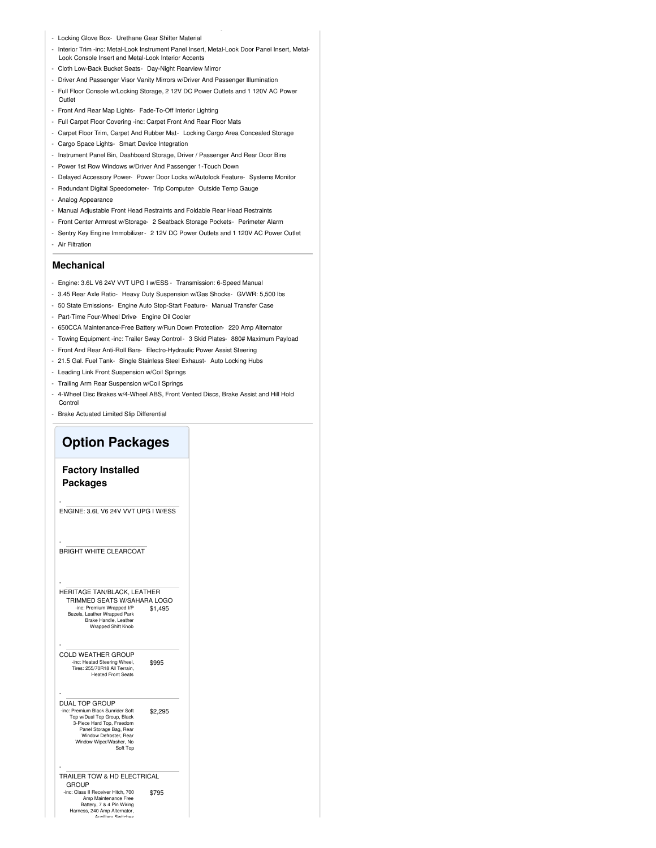- Locking Glove Box- Urethane Gear Shifter Material
- Interior Trim -inc: Metal-Look Instrument Panel Insert, Metal-Look Door Panel Insert, Metal-Look Console Insert and Metal-Look Interior Accents
- Cloth Low-Back Bucket Seats- Day-Night Rearview Mirror
- Driver And Passenger Visor Vanity Mirrors w/Driver And Passenger Illumination
- Full Floor Console w/Locking Storage, 2 12V DC Power Outlets and 1 120V AC Power Outlet
- Front And Rear Map Lights- Fade-To-Off Interior Lighting
- Full Carpet Floor Covering -inc: Carpet Front And Rear Floor Mats
- Carpet Floor Trim, Carpet And Rubber Mat- Locking Cargo Area Concealed Storage
- Cargo Space Lights- Smart Device Integration
- Instrument Panel Bin, Dashboard Storage, Driver / Passenger And Rear Door Bins
- Power 1st Row Windows w/Driver And Passenger 1-Touch Down
- Delayed Accessory Power- Power Door Locks w/Autolock Feature- Systems Monitor
- Redundant Digital Speedometer- Trip Computer- Outside Temp Gauge
- Analog Appearance
- Manual Adjustable Front Head Restraints and Foldable Rear Head Restraints
- Front Center Armrest w/Storage- 2 Seatback Storage Pockets- Perimeter Alarm
- Sentry Key Engine Immobilizer- 2 12V DC Power Outlets and 1 120V AC Power Outlet - Air Filtration

#### **Mechanical**

- Engine: 3.6L V6 24V VVT UPG I w/ESS Transmission: 6-Speed Manual
- 3.45 Rear Axle Ratio- Heavy Duty Suspension w/Gas Shocks- GVWR: 5,500 lbs
- 50 State Emissions- Engine Auto Stop-Start Feature- Manual Transfer Case
- Part-Time Four-Wheel Drive- Engine Oil Cooler
- 650CCA Maintenance-Free Battery w/Run Down Protection- 220 Amp Alternator
- Towing Equipment -inc: Trailer Sway Control- 3 Skid Plates- 880# Maximum Payload
- Front And Rear Anti-Roll Bars- Electro-Hydraulic Power Assist Steering
- 21.5 Gal. Fuel Tank- Single Stainless Steel Exhaust- Auto Locking Hubs
- Leading Link Front Suspension w/Coil Springs
- Trailing Arm Rear Suspension w/Coil Springs
- 4-Wheel Disc Brakes w/4-Wheel ABS, Front Vented Discs, Brake Assist and Hill Hold **Control**
- Brake Actuated Limited Slip Differential

### **Option Packages**

### **Factory Installed Packages**

-

-

-

-

ENGINE: 3.6L V6 24V VVT UPG I W/ESS

BRIGHT WHITE CLEARCOAT

\$1,495 - HERITAGE TAN/BLACK, LEATHER TRIMMED SEATS W/SAHARA LOGO -inc: Premium Wrapped I/P Bezels, Leather Wrapped Park Brake Handle, Leather Wrapped Shift Knob

\$995 COLD WEATHER GROUP -inc: Heated Steering Wheel, Tires: 255/70R18 All Terrain, Heated Front Seats

\$2,295 DUAL TOP GROUP -inc: Premium Black Sunrider Soft Top w/Dual Top Group, Black 3-Piece Hard Top, Freedom Panel Storage Bag, Rear Window Defroster, Rear Window Wiper/Washer, No Soft Top

\$795 - TRAILER TOW & HD ELECTRICAL **GROUP** -inc: Class II Receiver Hitch, 700 Amp Maintenance Free<br>Battery, 7 & 4 Pin Wiring<br>Harness, 240 Amp Alternator,